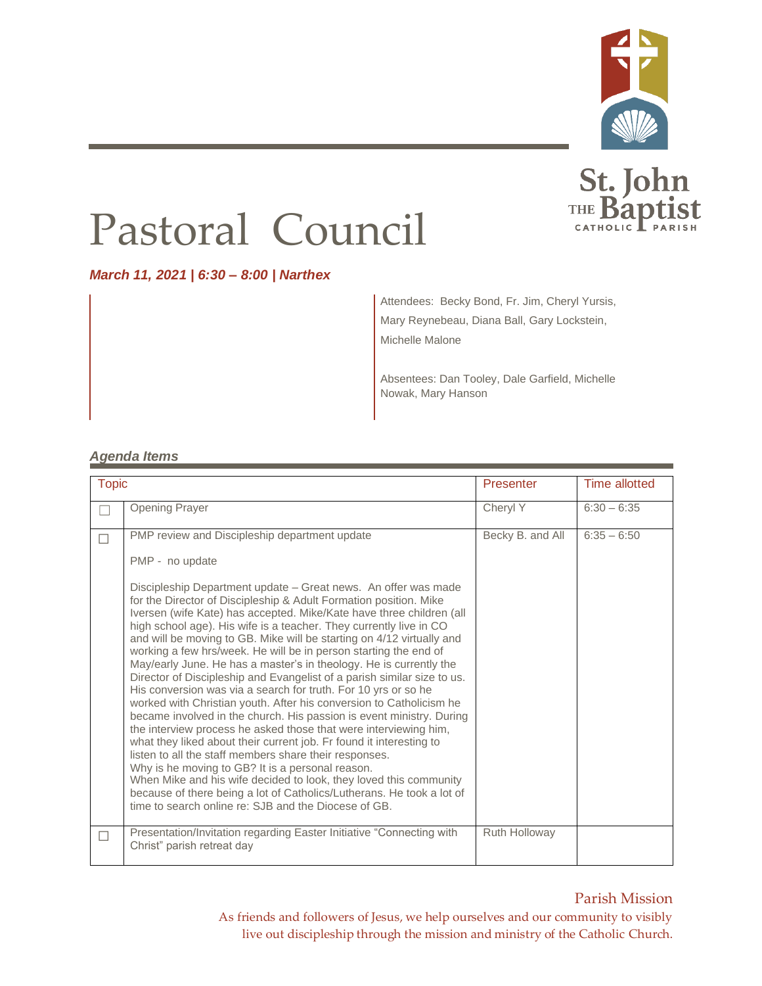



# Pastoral Council

*March 11, 2021 | 6:30 – 8:00 | Narthex*

Attendees: Becky Bond, Fr. Jim, Cheryl Yursis, Mary Reynebeau, Diana Ball, Gary Lockstein, Michelle Malone

Absentees: Dan Tooley, Dale Garfield, Michelle Nowak, Mary Hanson

#### *Agenda Items*

| <b>Topic</b> |                                                                                                                                                                                                                                                                                                                                                                                                                                                                                                                                                                                                                                                                                                                                                                                                                                                                                                                                                                                                                                                                                                                                                                                                                                                                                                                                     | Presenter        | <b>Time allotted</b> |
|--------------|-------------------------------------------------------------------------------------------------------------------------------------------------------------------------------------------------------------------------------------------------------------------------------------------------------------------------------------------------------------------------------------------------------------------------------------------------------------------------------------------------------------------------------------------------------------------------------------------------------------------------------------------------------------------------------------------------------------------------------------------------------------------------------------------------------------------------------------------------------------------------------------------------------------------------------------------------------------------------------------------------------------------------------------------------------------------------------------------------------------------------------------------------------------------------------------------------------------------------------------------------------------------------------------------------------------------------------------|------------------|----------------------|
|              | <b>Opening Prayer</b>                                                                                                                                                                                                                                                                                                                                                                                                                                                                                                                                                                                                                                                                                                                                                                                                                                                                                                                                                                                                                                                                                                                                                                                                                                                                                                               | Cheryl Y         | $6:30 - 6:35$        |
| П            | PMP review and Discipleship department update<br>PMP - no update<br>Discipleship Department update – Great news. An offer was made<br>for the Director of Discipleship & Adult Formation position. Mike<br>Iversen (wife Kate) has accepted. Mike/Kate have three children (all<br>high school age). His wife is a teacher. They currently live in CO<br>and will be moving to GB. Mike will be starting on 4/12 virtually and<br>working a few hrs/week. He will be in person starting the end of<br>May/early June. He has a master's in theology. He is currently the<br>Director of Discipleship and Evangelist of a parish similar size to us.<br>His conversion was via a search for truth. For 10 yrs or so he<br>worked with Christian youth. After his conversion to Catholicism he<br>became involved in the church. His passion is event ministry. During<br>the interview process he asked those that were interviewing him,<br>what they liked about their current job. Fr found it interesting to<br>listen to all the staff members share their responses.<br>Why is he moving to GB? It is a personal reason.<br>When Mike and his wife decided to look, they loved this community<br>because of there being a lot of Catholics/Lutherans. He took a lot of<br>time to search online re: SJB and the Diocese of GB. | Becky B. and All | $6:35 - 6:50$        |
|              | Presentation/Invitation regarding Easter Initiative "Connecting with<br>Christ" parish retreat day                                                                                                                                                                                                                                                                                                                                                                                                                                                                                                                                                                                                                                                                                                                                                                                                                                                                                                                                                                                                                                                                                                                                                                                                                                  | Ruth Holloway    |                      |

Parish Mission As friends and followers of Jesus, we help ourselves and our community to visibly live out discipleship through the mission and ministry of the Catholic Church.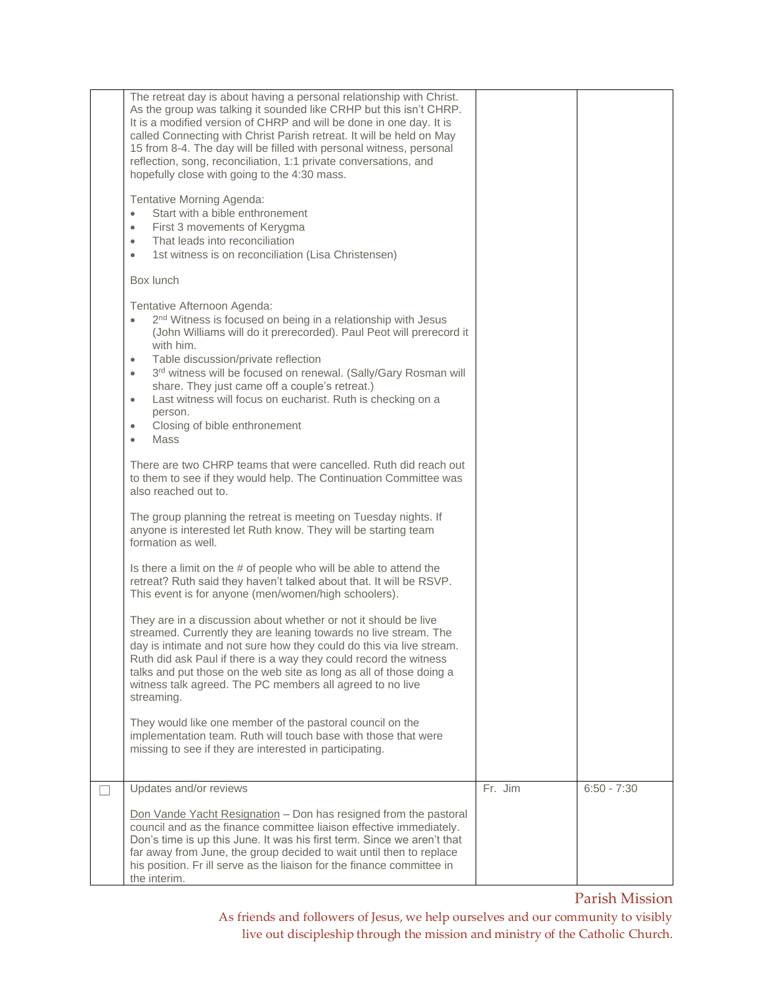| The retreat day is about having a personal relationship with Christ.<br>As the group was talking it sounded like CRHP but this isn't CHRP.<br>It is a modified version of CHRP and will be done in one day. It is<br>called Connecting with Christ Parish retreat. It will be held on May<br>15 from 8-4. The day will be filled with personal witness, personal<br>reflection, song, reconciliation, 1:1 private conversations, and<br>hopefully close with going to the 4:30 mass.<br>Tentative Morning Agenda:<br>Start with a bible enthronement<br>$\bullet$<br>First 3 movements of Kerygma<br>$\bullet$<br>That leads into reconciliation<br>$\bullet$<br>1st witness is on reconciliation (Lisa Christensen)<br>$\bullet$                                                                                                                                                                                                                                                                                                                                                                                                                                                                                                                                                                                                                                                                                                                                                                                                                                               |         |               |
|---------------------------------------------------------------------------------------------------------------------------------------------------------------------------------------------------------------------------------------------------------------------------------------------------------------------------------------------------------------------------------------------------------------------------------------------------------------------------------------------------------------------------------------------------------------------------------------------------------------------------------------------------------------------------------------------------------------------------------------------------------------------------------------------------------------------------------------------------------------------------------------------------------------------------------------------------------------------------------------------------------------------------------------------------------------------------------------------------------------------------------------------------------------------------------------------------------------------------------------------------------------------------------------------------------------------------------------------------------------------------------------------------------------------------------------------------------------------------------------------------------------------------------------------------------------------------------|---------|---------------|
| Box lunch                                                                                                                                                                                                                                                                                                                                                                                                                                                                                                                                                                                                                                                                                                                                                                                                                                                                                                                                                                                                                                                                                                                                                                                                                                                                                                                                                                                                                                                                                                                                                                       |         |               |
| Tentative Afternoon Agenda:<br>2 <sup>nd</sup> Witness is focused on being in a relationship with Jesus<br>(John Williams will do it prerecorded). Paul Peot will prerecord it<br>with him.<br>Table discussion/private reflection<br>$\bullet$<br>3rd witness will be focused on renewal. (Sally/Gary Rosman will<br>$\bullet$<br>share. They just came off a couple's retreat.)<br>Last witness will focus on eucharist. Ruth is checking on a<br>$\bullet$<br>person.<br>Closing of bible enthronement<br>$\bullet$<br>Mass<br>$\bullet$<br>There are two CHRP teams that were cancelled. Ruth did reach out<br>to them to see if they would help. The Continuation Committee was<br>also reached out to.<br>The group planning the retreat is meeting on Tuesday nights. If<br>anyone is interested let Ruth know. They will be starting team<br>formation as well.<br>Is there a limit on the # of people who will be able to attend the<br>retreat? Ruth said they haven't talked about that. It will be RSVP.<br>This event is for anyone (men/women/high schoolers).<br>They are in a discussion about whether or not it should be live<br>streamed. Currently they are leaning towards no live stream. The<br>day is intimate and not sure how they could do this via live stream.<br>Ruth did ask Paul if there is a way they could record the witness<br>talks and put those on the web site as long as all of those doing a<br>witness talk agreed. The PC members all agreed to no live<br>streaming.<br>They would like one member of the pastoral council on the |         |               |
| implementation team. Ruth will touch base with those that were<br>missing to see if they are interested in participating.                                                                                                                                                                                                                                                                                                                                                                                                                                                                                                                                                                                                                                                                                                                                                                                                                                                                                                                                                                                                                                                                                                                                                                                                                                                                                                                                                                                                                                                       |         |               |
| Updates and/or reviews                                                                                                                                                                                                                                                                                                                                                                                                                                                                                                                                                                                                                                                                                                                                                                                                                                                                                                                                                                                                                                                                                                                                                                                                                                                                                                                                                                                                                                                                                                                                                          | Fr. Jim | $6:50 - 7:30$ |
| Don Vande Yacht Resignation - Don has resigned from the pastoral<br>council and as the finance committee liaison effective immediately.<br>Don's time is up this June. It was his first term. Since we aren't that<br>far away from June, the group decided to wait until then to replace<br>his position. Fr ill serve as the liaison for the finance committee in<br>the interim.                                                                                                                                                                                                                                                                                                                                                                                                                                                                                                                                                                                                                                                                                                                                                                                                                                                                                                                                                                                                                                                                                                                                                                                             |         |               |

Parish Mission

As friends and followers of Jesus, we help ourselves and our community to visibly live out discipleship through the mission and ministry of the Catholic Church.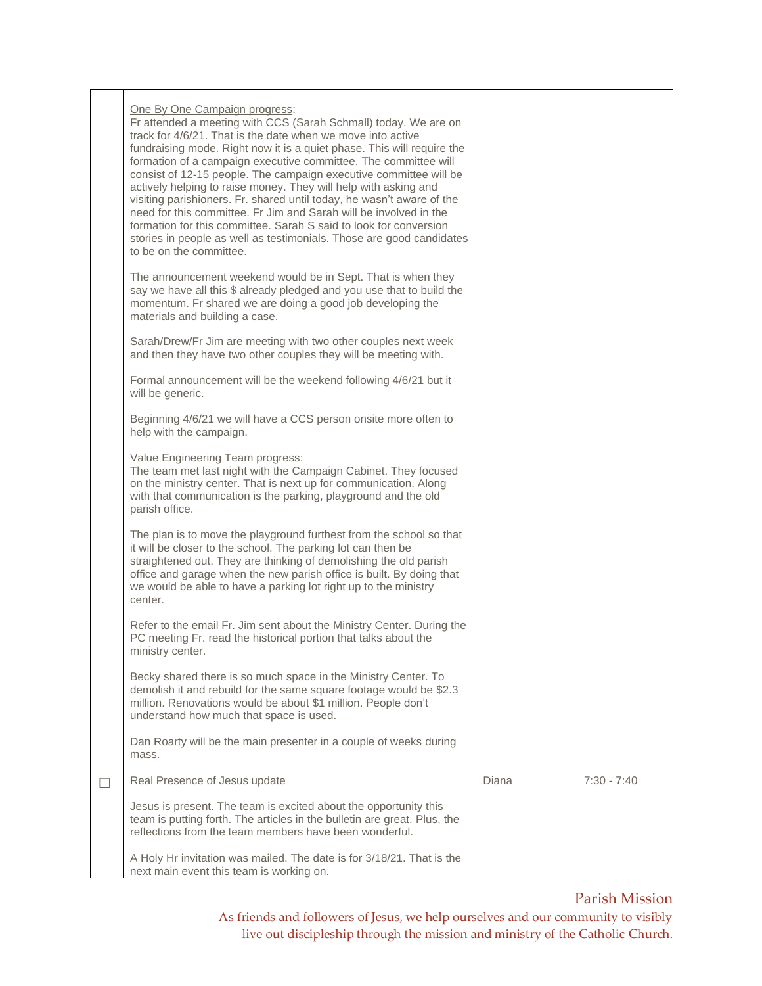| <u>One By One Campaign progress:</u><br>Fr attended a meeting with CCS (Sarah Schmall) today. We are on<br>track for 4/6/21. That is the date when we move into active<br>fundraising mode. Right now it is a quiet phase. This will require the<br>formation of a campaign executive committee. The committee will<br>consist of 12-15 people. The campaign executive committee will be<br>actively helping to raise money. They will help with asking and<br>visiting parishioners. Fr. shared until today, he wasn't aware of the<br>need for this committee. Fr Jim and Sarah will be involved in the<br>formation for this committee. Sarah S said to look for conversion<br>stories in people as well as testimonials. Those are good candidates<br>to be on the committee.<br>The announcement weekend would be in Sept. That is when they<br>say we have all this \$ already pledged and you use that to build the<br>momentum. Fr shared we are doing a good job developing the<br>materials and building a case.<br>Sarah/Drew/Fr Jim are meeting with two other couples next week<br>and then they have two other couples they will be meeting with.<br>Formal announcement will be the weekend following 4/6/21 but it<br>will be generic.<br>Beginning 4/6/21 we will have a CCS person onsite more often to<br>help with the campaign.<br>Value Engineering Team progress:<br>The team met last night with the Campaign Cabinet. They focused<br>on the ministry center. That is next up for communication. Along<br>with that communication is the parking, playground and the old<br>parish office.<br>The plan is to move the playground furthest from the school so that<br>it will be closer to the school. The parking lot can then be<br>straightened out. They are thinking of demolishing the old parish<br>office and garage when the new parish office is built. By doing that<br>we would be able to have a parking lot right up to the ministry<br>center. |       |               |
|---------------------------------------------------------------------------------------------------------------------------------------------------------------------------------------------------------------------------------------------------------------------------------------------------------------------------------------------------------------------------------------------------------------------------------------------------------------------------------------------------------------------------------------------------------------------------------------------------------------------------------------------------------------------------------------------------------------------------------------------------------------------------------------------------------------------------------------------------------------------------------------------------------------------------------------------------------------------------------------------------------------------------------------------------------------------------------------------------------------------------------------------------------------------------------------------------------------------------------------------------------------------------------------------------------------------------------------------------------------------------------------------------------------------------------------------------------------------------------------------------------------------------------------------------------------------------------------------------------------------------------------------------------------------------------------------------------------------------------------------------------------------------------------------------------------------------------------------------------------------------------------------------------------------------------------------------------------------------------------|-------|---------------|
|                                                                                                                                                                                                                                                                                                                                                                                                                                                                                                                                                                                                                                                                                                                                                                                                                                                                                                                                                                                                                                                                                                                                                                                                                                                                                                                                                                                                                                                                                                                                                                                                                                                                                                                                                                                                                                                                                                                                                                                       |       |               |
| Refer to the email Fr. Jim sent about the Ministry Center. During the<br>PC meeting Fr. read the historical portion that talks about the<br>ministry center.                                                                                                                                                                                                                                                                                                                                                                                                                                                                                                                                                                                                                                                                                                                                                                                                                                                                                                                                                                                                                                                                                                                                                                                                                                                                                                                                                                                                                                                                                                                                                                                                                                                                                                                                                                                                                          |       |               |
| Becky shared there is so much space in the Ministry Center. To<br>demolish it and rebuild for the same square footage would be \$2.3<br>million. Renovations would be about \$1 million. People don't<br>understand how much that space is used.                                                                                                                                                                                                                                                                                                                                                                                                                                                                                                                                                                                                                                                                                                                                                                                                                                                                                                                                                                                                                                                                                                                                                                                                                                                                                                                                                                                                                                                                                                                                                                                                                                                                                                                                      |       |               |
| Dan Roarty will be the main presenter in a couple of weeks during<br>mass.                                                                                                                                                                                                                                                                                                                                                                                                                                                                                                                                                                                                                                                                                                                                                                                                                                                                                                                                                                                                                                                                                                                                                                                                                                                                                                                                                                                                                                                                                                                                                                                                                                                                                                                                                                                                                                                                                                            |       |               |
| Real Presence of Jesus update                                                                                                                                                                                                                                                                                                                                                                                                                                                                                                                                                                                                                                                                                                                                                                                                                                                                                                                                                                                                                                                                                                                                                                                                                                                                                                                                                                                                                                                                                                                                                                                                                                                                                                                                                                                                                                                                                                                                                         | Diana | $7:30 - 7:40$ |
| Jesus is present. The team is excited about the opportunity this<br>team is putting forth. The articles in the bulletin are great. Plus, the<br>reflections from the team members have been wonderful.                                                                                                                                                                                                                                                                                                                                                                                                                                                                                                                                                                                                                                                                                                                                                                                                                                                                                                                                                                                                                                                                                                                                                                                                                                                                                                                                                                                                                                                                                                                                                                                                                                                                                                                                                                                |       |               |
| A Holy Hr invitation was mailed. The date is for 3/18/21. That is the<br>next main event this team is working on.                                                                                                                                                                                                                                                                                                                                                                                                                                                                                                                                                                                                                                                                                                                                                                                                                                                                                                                                                                                                                                                                                                                                                                                                                                                                                                                                                                                                                                                                                                                                                                                                                                                                                                                                                                                                                                                                     |       |               |

## Parish Mission

As friends and followers of Jesus, we help ourselves and our community to visibly live out discipleship through the mission and ministry of the Catholic Church.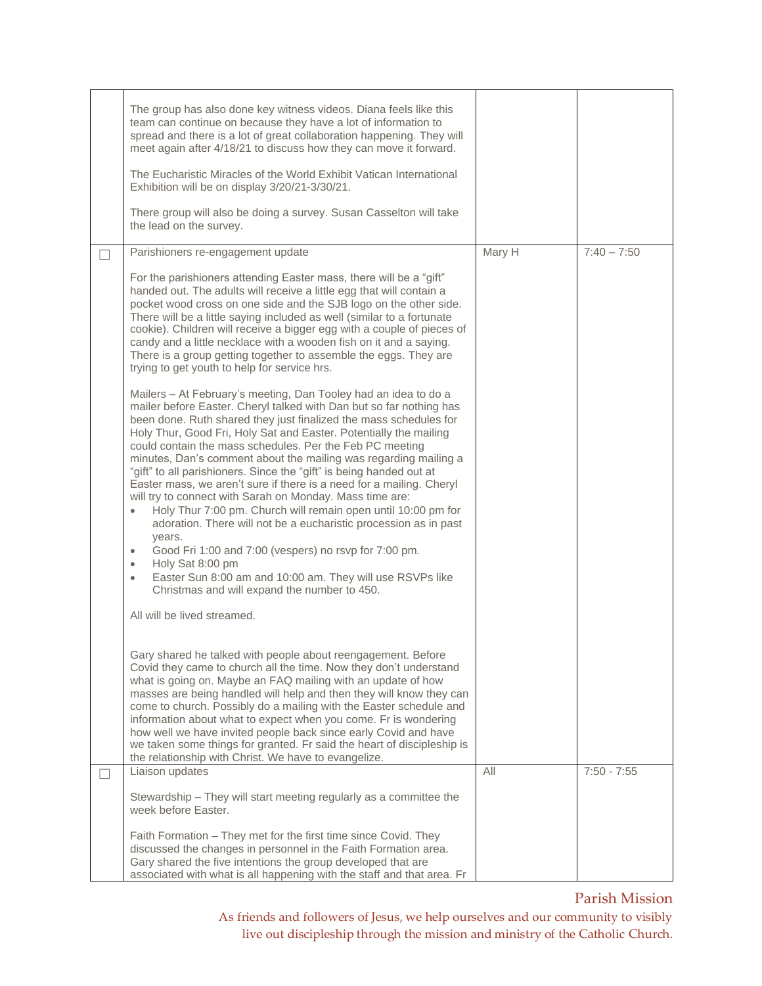|                          | The group has also done key witness videos. Diana feels like this<br>team can continue on because they have a lot of information to<br>spread and there is a lot of great collaboration happening. They will<br>meet again after 4/18/21 to discuss how they can move it forward.<br>The Eucharistic Miracles of the World Exhibit Vatican International<br>Exhibition will be on display 3/20/21-3/30/21.<br>There group will also be doing a survey. Susan Casselton will take<br>the lead on the survey.                                                                                                                                                                                                                                                                                                                                                                                                                                                                                                              |        |               |
|--------------------------|--------------------------------------------------------------------------------------------------------------------------------------------------------------------------------------------------------------------------------------------------------------------------------------------------------------------------------------------------------------------------------------------------------------------------------------------------------------------------------------------------------------------------------------------------------------------------------------------------------------------------------------------------------------------------------------------------------------------------------------------------------------------------------------------------------------------------------------------------------------------------------------------------------------------------------------------------------------------------------------------------------------------------|--------|---------------|
|                          | Parishioners re-engagement update                                                                                                                                                                                                                                                                                                                                                                                                                                                                                                                                                                                                                                                                                                                                                                                                                                                                                                                                                                                        | Mary H | $7:40 - 7:50$ |
|                          | For the parishioners attending Easter mass, there will be a "gift"<br>handed out. The adults will receive a little egg that will contain a<br>pocket wood cross on one side and the SJB logo on the other side.<br>There will be a little saying included as well (similar to a fortunate<br>cookie). Children will receive a bigger egg with a couple of pieces of<br>candy and a little necklace with a wooden fish on it and a saying.<br>There is a group getting together to assemble the eggs. They are<br>trying to get youth to help for service hrs.                                                                                                                                                                                                                                                                                                                                                                                                                                                            |        |               |
|                          | Mailers - At February's meeting, Dan Tooley had an idea to do a<br>mailer before Easter. Cheryl talked with Dan but so far nothing has<br>been done. Ruth shared they just finalized the mass schedules for<br>Holy Thur, Good Fri, Holy Sat and Easter. Potentially the mailing<br>could contain the mass schedules. Per the Feb PC meeting<br>minutes, Dan's comment about the mailing was regarding mailing a<br>"gift" to all parishioners. Since the "gift" is being handed out at<br>Easter mass, we aren't sure if there is a need for a mailing. Cheryl<br>will try to connect with Sarah on Monday. Mass time are:<br>Holy Thur 7:00 pm. Church will remain open until 10:00 pm for<br>$\bullet$<br>adoration. There will not be a eucharistic procession as in past<br>years.<br>Good Fri 1:00 and 7:00 (vespers) no rsvp for 7:00 pm.<br>$\bullet$<br>Holy Sat 8:00 pm<br>$\bullet$<br>Easter Sun 8:00 am and 10:00 am. They will use RSVPs like<br>$\bullet$<br>Christmas and will expand the number to 450. |        |               |
|                          | All will be lived streamed.                                                                                                                                                                                                                                                                                                                                                                                                                                                                                                                                                                                                                                                                                                                                                                                                                                                                                                                                                                                              |        |               |
|                          | Gary shared he talked with people about reengagement. Before<br>Covid they came to church all the time. Now they don't understand<br>what is going on. Maybe an FAQ mailing with an update of how<br>masses are being handled will help and then they will know they can<br>come to church. Possibly do a mailing with the Easter schedule and<br>information about what to expect when you come. Fr is wondering<br>how well we have invited people back since early Covid and have<br>we taken some things for granted. Fr said the heart of discipleship is<br>the relationship with Christ. We have to evangelize.                                                                                                                                                                                                                                                                                                                                                                                                   |        |               |
| $\overline{\phantom{0}}$ | Liaison updates                                                                                                                                                                                                                                                                                                                                                                                                                                                                                                                                                                                                                                                                                                                                                                                                                                                                                                                                                                                                          | All    | $7:50 - 7:55$ |
|                          | Stewardship - They will start meeting regularly as a committee the<br>week before Easter.                                                                                                                                                                                                                                                                                                                                                                                                                                                                                                                                                                                                                                                                                                                                                                                                                                                                                                                                |        |               |
|                          | Faith Formation - They met for the first time since Covid. They<br>discussed the changes in personnel in the Faith Formation area.<br>Gary shared the five intentions the group developed that are<br>associated with what is all happening with the staff and that area. Fr                                                                                                                                                                                                                                                                                                                                                                                                                                                                                                                                                                                                                                                                                                                                             |        |               |

## Parish Mission

As friends and followers of Jesus, we help ourselves and our community to visibly live out discipleship through the mission and ministry of the Catholic Church.